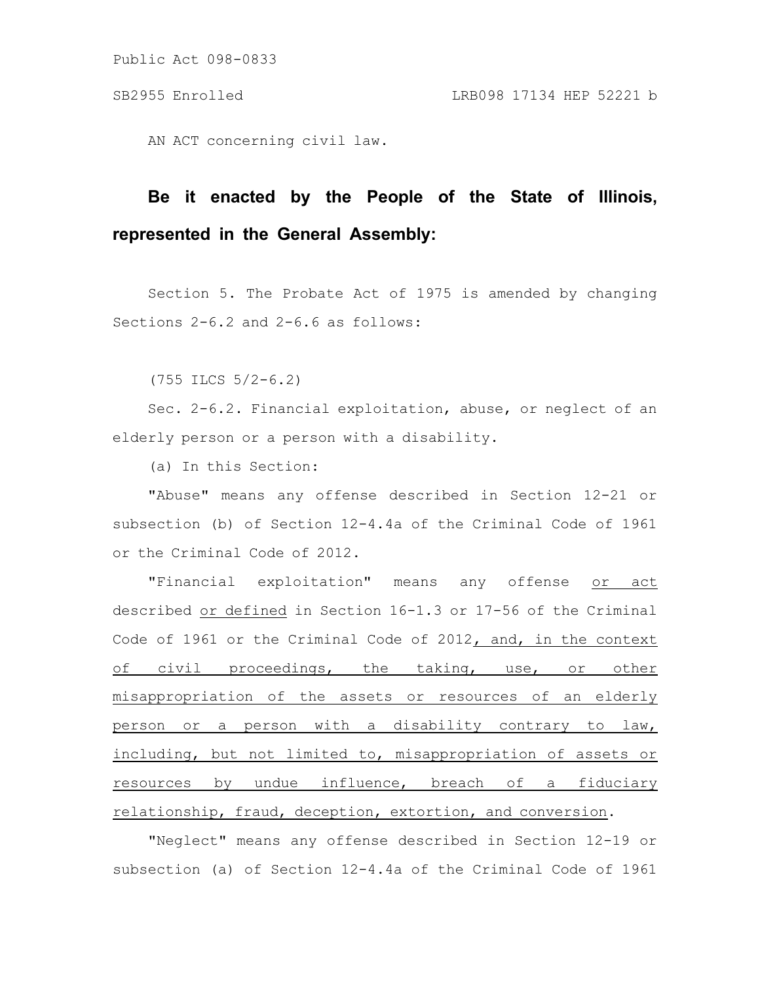AN ACT concerning civil law.

## **Be it enacted by the People of the State of Illinois, represented in the General Assembly:**

Section 5. The Probate Act of 1975 is amended by changing Sections 2-6.2 and 2-6.6 as follows:

(755 ILCS 5/2-6.2)

Sec. 2-6.2. Financial exploitation, abuse, or neglect of an elderly person or a person with a disability.

(a) In this Section:

"Abuse" means any offense described in Section 12-21 or subsection (b) of Section 12-4.4a of the Criminal Code of 1961 or the Criminal Code of 2012.

"Financial exploitation" means any offense or act described or defined in Section 16-1.3 or 17-56 of the Criminal Code of 1961 or the Criminal Code of 2012, and, in the context of civil proceedings, the taking, use, or other misappropriation of the assets or resources of an elderly person or a person with a disability contrary to law, including, but not limited to, misappropriation of assets or resources by undue influence, breach of a fiduciary relationship, fraud, deception, extortion, and conversion.

"Neglect" means any offense described in Section 12-19 or subsection (a) of Section 12-4.4a of the Criminal Code of 1961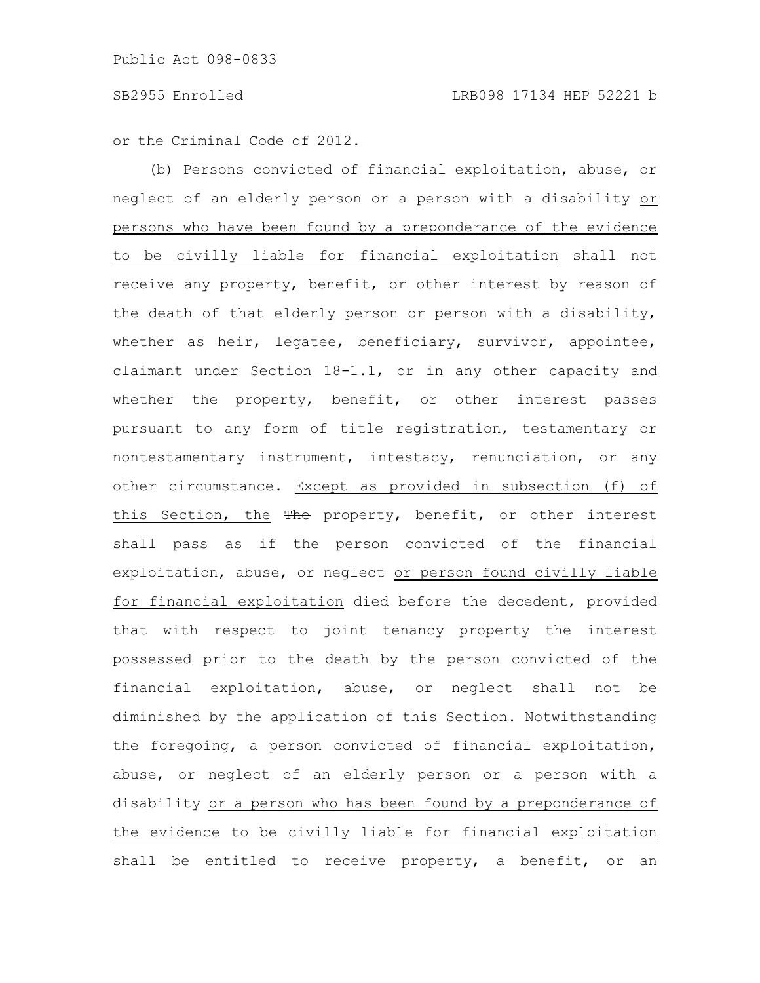or the Criminal Code of 2012.

(b) Persons convicted of financial exploitation, abuse, or neglect of an elderly person or a person with a disability or persons who have been found by a preponderance of the evidence to be civilly liable for financial exploitation shall not receive any property, benefit, or other interest by reason of the death of that elderly person or person with a disability, whether as heir, legatee, beneficiary, survivor, appointee, claimant under Section 18-1.1, or in any other capacity and whether the property, benefit, or other interest passes pursuant to any form of title registration, testamentary or nontestamentary instrument, intestacy, renunciation, or any other circumstance. Except as provided in subsection (f) of this Section, the The property, benefit, or other interest shall pass as if the person convicted of the financial exploitation, abuse, or neglect or person found civilly liable for financial exploitation died before the decedent, provided that with respect to joint tenancy property the interest possessed prior to the death by the person convicted of the financial exploitation, abuse, or neglect shall not be diminished by the application of this Section. Notwithstanding the foregoing, a person convicted of financial exploitation, abuse, or neglect of an elderly person or a person with a disability or a person who has been found by a preponderance of the evidence to be civilly liable for financial exploitation shall be entitled to receive property, a benefit, or an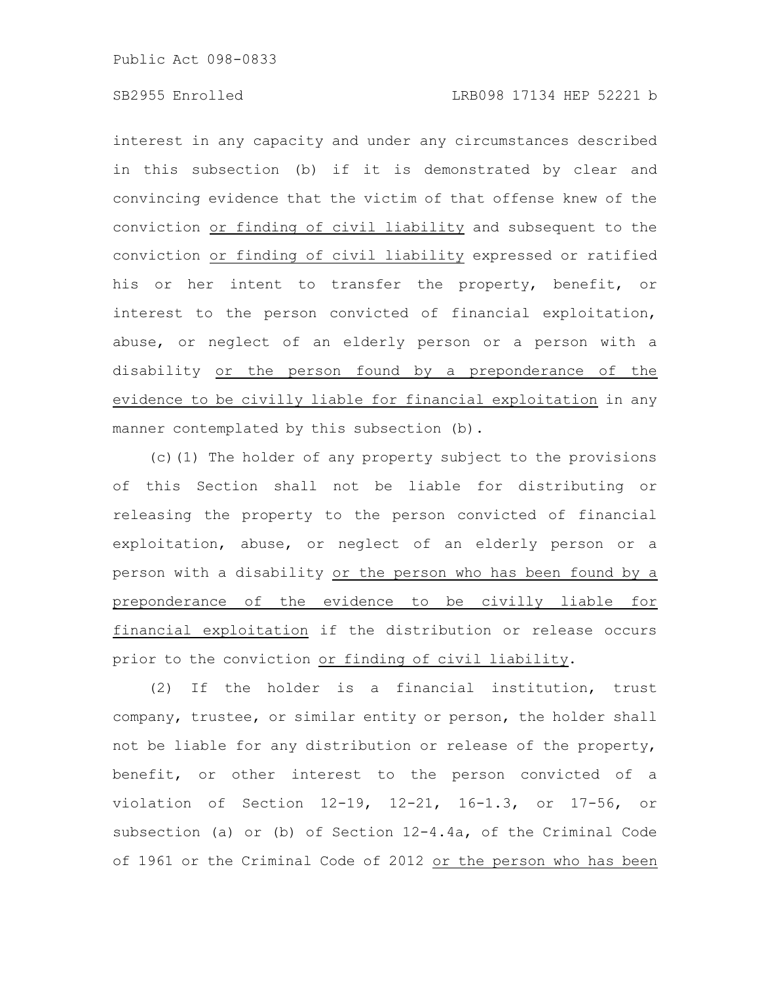## SB2955 Enrolled LRB098 17134 HEP 52221 b

interest in any capacity and under any circumstances described in this subsection (b) if it is demonstrated by clear and convincing evidence that the victim of that offense knew of the conviction or finding of civil liability and subsequent to the conviction or finding of civil liability expressed or ratified his or her intent to transfer the property, benefit, or interest to the person convicted of financial exploitation, abuse, or neglect of an elderly person or a person with a disability or the person found by a preponderance of the evidence to be civilly liable for financial exploitation in any manner contemplated by this subsection (b).

(c)(1) The holder of any property subject to the provisions of this Section shall not be liable for distributing or releasing the property to the person convicted of financial exploitation, abuse, or neglect of an elderly person or a person with a disability or the person who has been found by a preponderance of the evidence to be civilly liable for financial exploitation if the distribution or release occurs prior to the conviction or finding of civil liability.

(2) If the holder is a financial institution, trust company, trustee, or similar entity or person, the holder shall not be liable for any distribution or release of the property, benefit, or other interest to the person convicted of a violation of Section 12-19, 12-21, 16-1.3, or 17-56, or subsection (a) or (b) of Section 12-4.4a, of the Criminal Code of 1961 or the Criminal Code of 2012 or the person who has been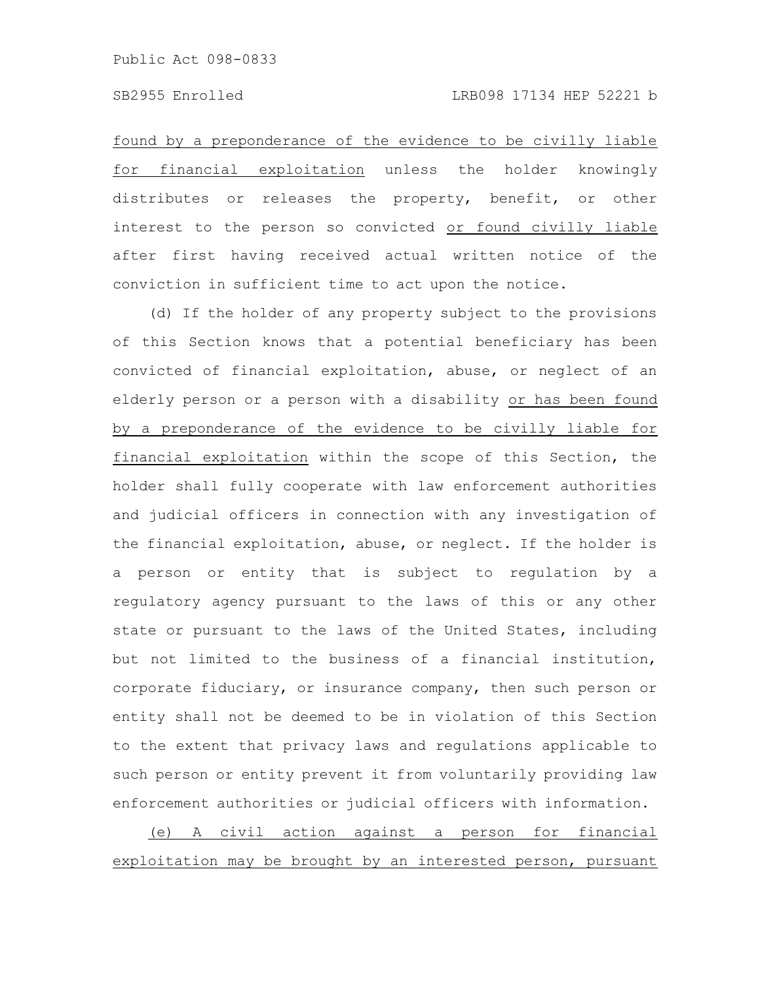found by a preponderance of the evidence to be civilly liable for financial exploitation unless the holder knowingly distributes or releases the property, benefit, or other interest to the person so convicted or found civilly liable after first having received actual written notice of the conviction in sufficient time to act upon the notice.

(d) If the holder of any property subject to the provisions of this Section knows that a potential beneficiary has been convicted of financial exploitation, abuse, or neglect of an elderly person or a person with a disability or has been found by a preponderance of the evidence to be civilly liable for financial exploitation within the scope of this Section, the holder shall fully cooperate with law enforcement authorities and judicial officers in connection with any investigation of the financial exploitation, abuse, or neglect. If the holder is a person or entity that is subject to regulation by a regulatory agency pursuant to the laws of this or any other state or pursuant to the laws of the United States, including but not limited to the business of a financial institution, corporate fiduciary, or insurance company, then such person or entity shall not be deemed to be in violation of this Section to the extent that privacy laws and regulations applicable to such person or entity prevent it from voluntarily providing law enforcement authorities or judicial officers with information.

(e) A civil action against a person for financial exploitation may be brought by an interested person, pursuant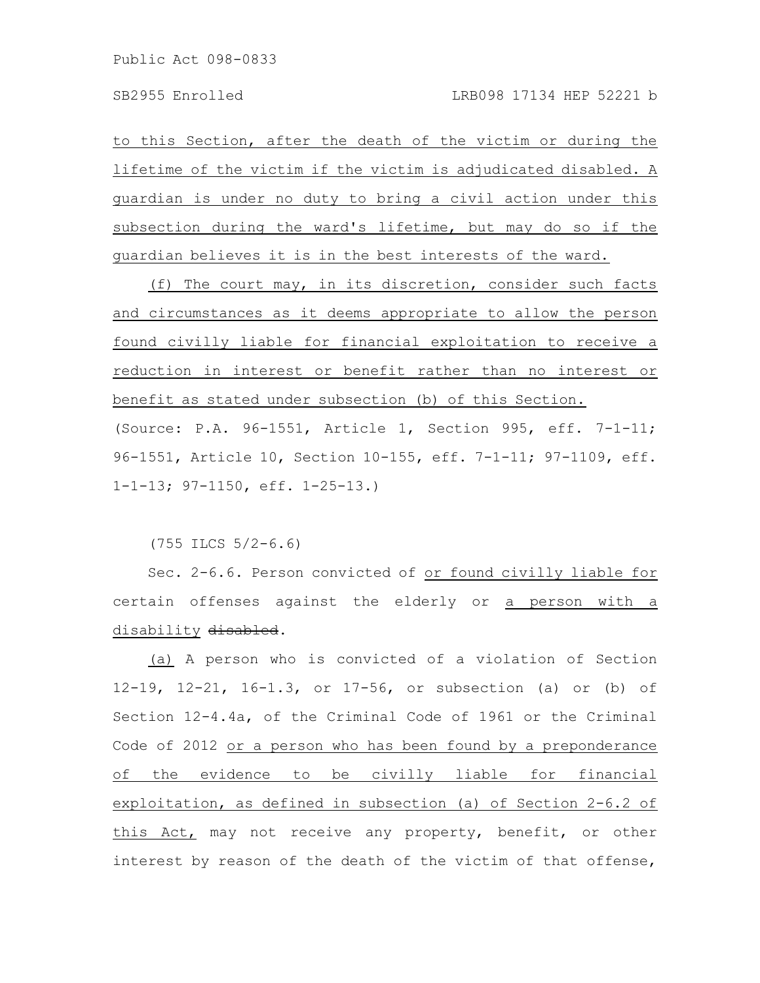to this Section, after the death of the victim or during the lifetime of the victim if the victim is adjudicated disabled. A guardian is under no duty to bring a civil action under this subsection during the ward's lifetime, but may do so if the guardian believes it is in the best interests of the ward.

(f) The court may, in its discretion, consider such facts and circumstances as it deems appropriate to allow the person found civilly liable for financial exploitation to receive a reduction in interest or benefit rather than no interest or benefit as stated under subsection (b) of this Section. (Source: P.A. 96-1551, Article 1, Section 995, eff. 7-1-11; 96-1551, Article 10, Section 10-155, eff. 7-1-11; 97-1109, eff. 1-1-13; 97-1150, eff. 1-25-13.)

(755 ILCS 5/2-6.6)

Sec. 2-6.6. Person convicted of or found civilly liable for certain offenses against the elderly or a person with a disability disabled.

(a) A person who is convicted of a violation of Section 12-19, 12-21, 16-1.3, or 17-56, or subsection (a) or (b) of Section 12-4.4a, of the Criminal Code of 1961 or the Criminal Code of 2012 or a person who has been found by a preponderance of the evidence to be civilly liable for financial exploitation, as defined in subsection (a) of Section 2-6.2 of this Act, may not receive any property, benefit, or other interest by reason of the death of the victim of that offense,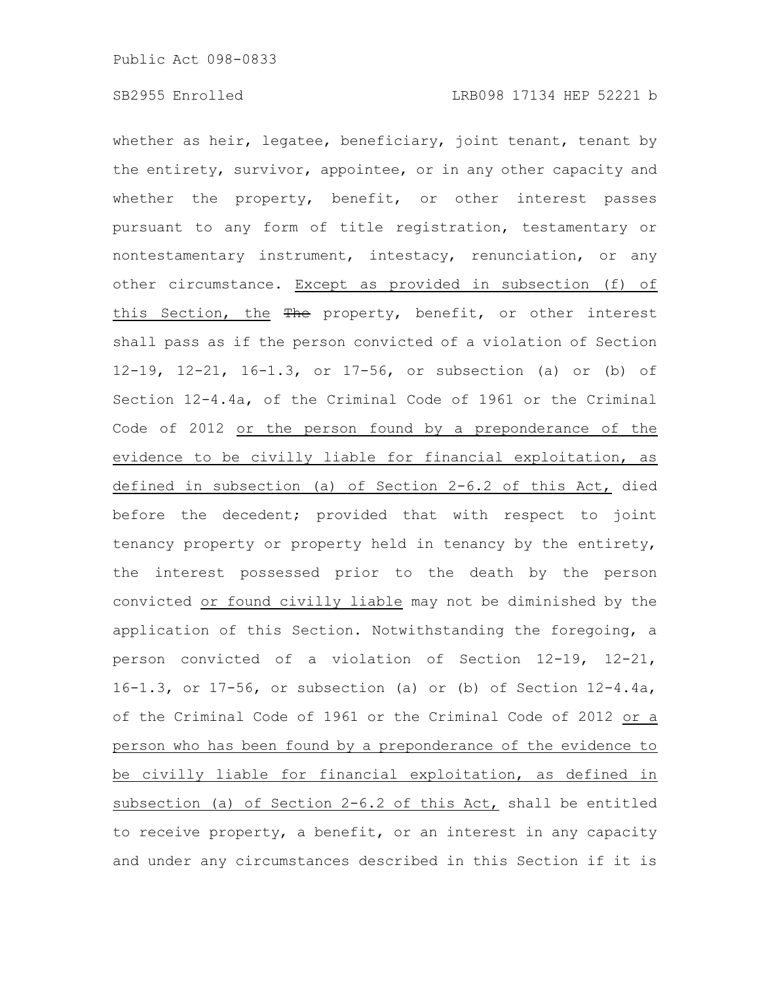whether as heir, legatee, beneficiary, joint tenant, tenant by the entirety, survivor, appointee, or in any other capacity and whether the property, benefit, or other interest passes pursuant to any form of title registration, testamentary or nontestamentary instrument, intestacy, renunciation, or any other circumstance. Except as provided in subsection (f) of this Section, the The property, benefit, or other interest shall pass as if the person convicted of a violation of Section 12-19, 12-21, 16-1.3, or 17-56, or subsection (a) or (b) of Section 12-4.4a, of the Criminal Code of 1961 or the Criminal Code of 2012 or the person found by a preponderance of the evidence to be civilly liable for financial exploitation, as defined in subsection (a) of Section 2-6.2 of this Act, died before the decedent; provided that with respect to joint tenancy property or property held in tenancy by the entirety, the interest possessed prior to the death by the person convicted or found civilly liable may not be diminished by the application of this Section. Notwithstanding the foregoing, a person convicted of a violation of Section 12-19, 12-21, 16-1.3, or 17-56, or subsection (a) or (b) of Section 12-4.4a, of the Criminal Code of 1961 or the Criminal Code of 2012 or a person who has been found by a preponderance of the evidence to be civilly liable for financial exploitation, as defined in subsection (a) of Section 2-6.2 of this Act, shall be entitled to receive property, a benefit, or an interest in any capacity and under any circumstances described in this Section if it is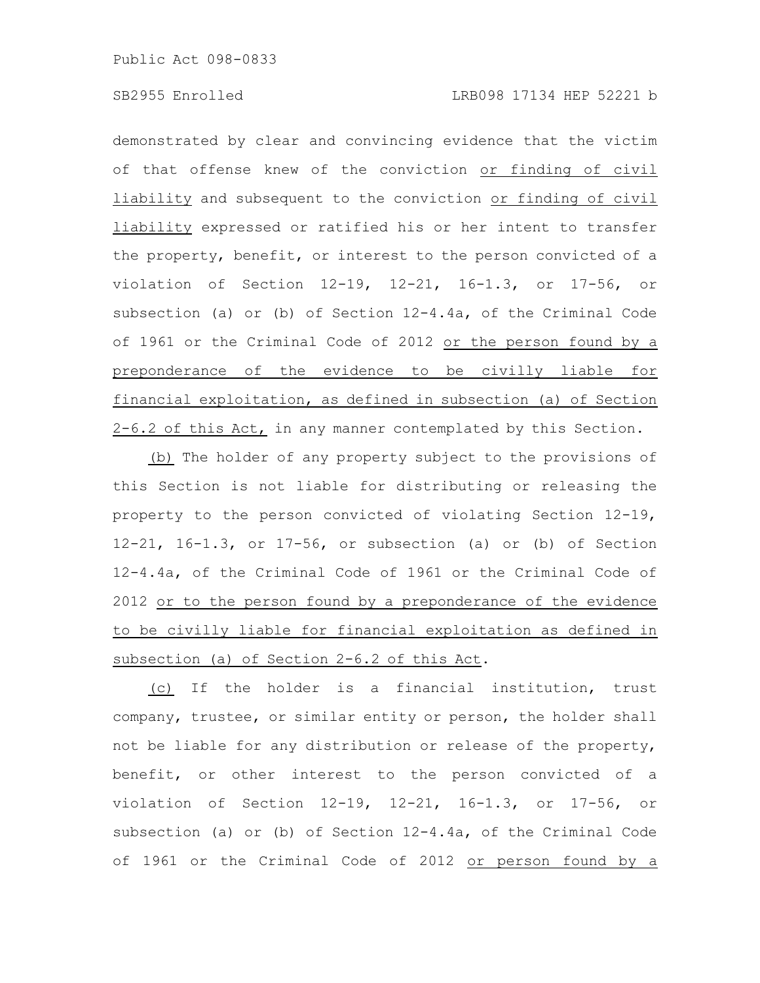demonstrated by clear and convincing evidence that the victim of that offense knew of the conviction or finding of civil liability and subsequent to the conviction or finding of civil liability expressed or ratified his or her intent to transfer the property, benefit, or interest to the person convicted of a violation of Section 12-19, 12-21, 16-1.3, or 17-56, or subsection (a) or (b) of Section 12-4.4a, of the Criminal Code of 1961 or the Criminal Code of 2012 or the person found by a preponderance of the evidence to be civilly liable for financial exploitation, as defined in subsection (a) of Section 2-6.2 of this Act, in any manner contemplated by this Section.

(b) The holder of any property subject to the provisions of this Section is not liable for distributing or releasing the property to the person convicted of violating Section 12-19, 12-21, 16-1.3, or 17-56, or subsection (a) or (b) of Section 12-4.4a, of the Criminal Code of 1961 or the Criminal Code of 2012 or to the person found by a preponderance of the evidence to be civilly liable for financial exploitation as defined in subsection (a) of Section 2-6.2 of this Act.

(c) If the holder is a financial institution, trust company, trustee, or similar entity or person, the holder shall not be liable for any distribution or release of the property, benefit, or other interest to the person convicted of a violation of Section 12-19, 12-21, 16-1.3, or 17-56, or subsection (a) or (b) of Section 12-4.4a, of the Criminal Code of 1961 or the Criminal Code of 2012 or person found by a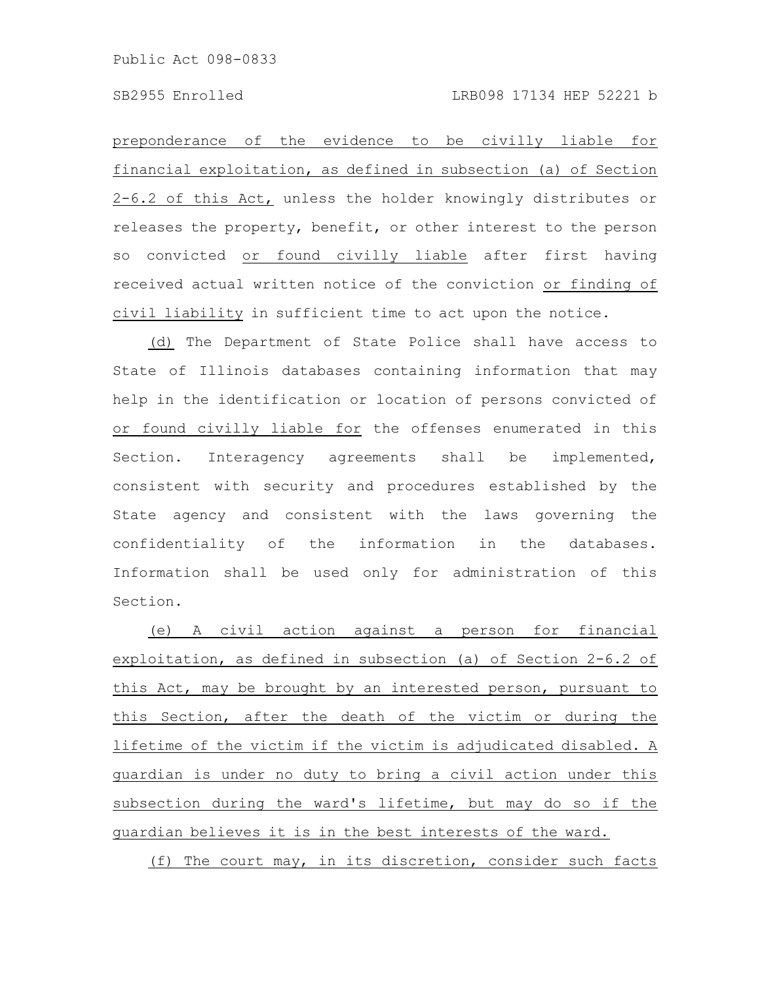preponderance of the evidence to be civilly liable for financial exploitation, as defined in subsection (a) of Section 2-6.2 of this Act, unless the holder knowingly distributes or releases the property, benefit, or other interest to the person so convicted or found civilly liable after first having received actual written notice of the conviction or finding of civil liability in sufficient time to act upon the notice.

(d) The Department of State Police shall have access to State of Illinois databases containing information that may help in the identification or location of persons convicted of or found civilly liable for the offenses enumerated in this Section. Interagency agreements shall be implemented, consistent with security and procedures established by the State agency and consistent with the laws governing the confidentiality of the information in the databases. Information shall be used only for administration of this Section.

(e) A civil action against a person for financial exploitation, as defined in subsection (a) of Section 2-6.2 of this Act, may be brought by an interested person, pursuant to this Section, after the death of the victim or during the lifetime of the victim if the victim is adjudicated disabled. A guardian is under no duty to bring a civil action under this subsection during the ward's lifetime, but may do so if the guardian believes it is in the best interests of the ward.

(f) The court may, in its discretion, consider such facts